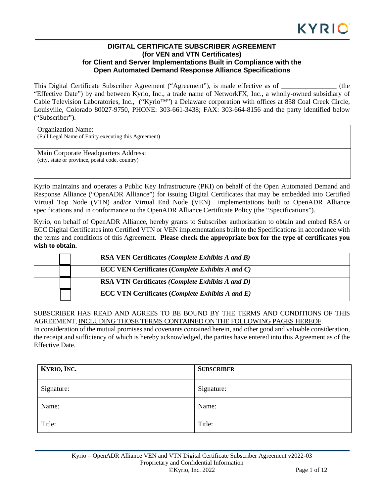# **DIGITAL CERTIFICATE SUBSCRIBER AGREEMENT (for VEN and VTN Certificates) for Client and Server Implementations Built in Compliance with the Open Automated Demand Response Alliance Specifications**

This Digital Certificate Subscriber Agreement ("Agreement"), is made effective as of \_\_\_\_\_\_\_\_\_\_\_\_\_\_\_\_ (the "Effective Date") by and between Kyrio, Inc., a trade name of NetworkFX, Inc., a wholly-owned subsidiary of Cable Television Laboratories, Inc., ("Kyrio™") a Delaware corporation with offices at 858 Coal Creek Circle, Louisville, Colorado 80027-9750, PHONE: 303-661-3438; FAX: 303-664-8156 and the party identified below ("Subscriber").

Organization Name: (Full Legal Name of Entity executing this Agreement)

Main Corporate Headquarters Address: (city, state or province, postal code, country)

Kyrio maintains and operates a Public Key Infrastructure (PKI) on behalf of the Open Automated Demand and Response Alliance ("OpenADR Alliance") for issuing Digital Certificates that may be embedded into Certified Virtual Top Node (VTN) and/or Virtual End Node (VEN) implementations built to OpenADR Alliance specifications and in conformance to the OpenADR Alliance Certificate Policy (the "Specifications").

Kyrio, on behalf of OpenADR Alliance, hereby grants to Subscriber authorization to obtain and embed RSA or ECC Digital Certificates into Certified VTN or VEN implementations built to the Specifications in accordance with the terms and conditions of this Agreement. **Please check the appropriate box for the type of certificates you wish to obtain.** 

| <b>RSA VEN Certificates (Complete Exhibits A and B)</b> |
|---------------------------------------------------------|
| <b>ECC VEN Certificates (Complete Exhibits A and C)</b> |
| <b>RSA VTN Certificates (Complete Exhibits A and D)</b> |
| <b>ECC VTN Certificates (Complete Exhibits A and E)</b> |

# SUBSCRIBER HAS READ AND AGREES TO BE BOUND BY THE TERMS AND CONDITIONS OF THIS AGREEMENT, INCLUDING THOSE TERMS CONTAINED ON THE FOLLOWING PAGES HEREOF.

In consideration of the mutual promises and covenants contained herein, and other good and valuable consideration, the receipt and sufficiency of which is hereby acknowledged, the parties have entered into this Agreement as of the Effective Date.

| KYRIO, INC. | <b>SUBSCRIBER</b> |
|-------------|-------------------|
| Signature:  | Signature:        |
| Name:       | Name:             |
| Title:      | Title:            |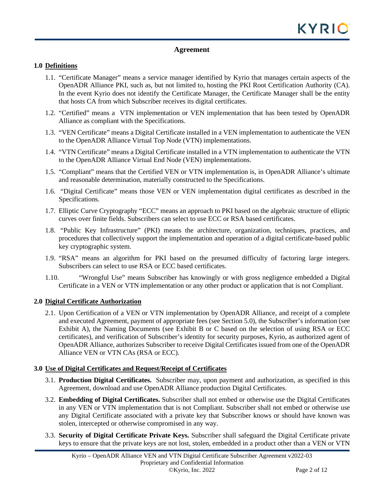# **Agreement**

# **1.0 Definitions**

- 1.1. "Certificate Manager" means a service manager identified by Kyrio that manages certain aspects of the OpenADR Alliance PKI, such as, but not limited to, hosting the PKI Root Certification Authority (CA). In the event Kyrio does not identify the Certificate Manager, the Certificate Manager shall be the entity that hosts CA from which Subscriber receives its digital certificates.
- 1.2. "Certified" means a VTN implementation or VEN implementation that has been tested by OpenADR Alliance as compliant with the Specifications.
- 1.3. "VEN Certificate" means a Digital Certificate installed in a VEN implementation to authenticate the VEN to the OpenADR Alliance Virtual Top Node (VTN) implementations.
- 1.4. "VTN Certificate" means a Digital Certificate installed in a VTN implementation to authenticate the VTN to the OpenADR Alliance Virtual End Node (VEN) implementations.
- 1.5. "Compliant" means that the Certified VEN or VTN implementation is, in OpenADR Alliance's ultimate and reasonable determination, materially constructed to the Specifications.
- 1.6. "Digital Certificate" means those VEN or VEN implementation digital certificates as described in the Specifications.
- 1.7. Elliptic Curve Cryptography "ECC" means an approach to PKI based on the algebraic structure of elliptic curves over finite fields. Subscribers can select to use ECC or RSA based certificates.
- 1.8. "Public Key Infrastructure" (PKI) means the architecture, organization, techniques, practices, and procedures that collectively support the implementation and operation of a digital certificate-based public key cryptographic system.
- 1.9. "RSA" means an algorithm for PKI based on the presumed difficulty of factoring large integers. Subscribers can select to use RSA or ECC based certificates.
- 1.10. "Wrongful Use" means Subscriber has knowingly or with gross negligence embedded a Digital Certificate in a VEN or VTN implementation or any other product or application that is not Compliant.

## **2.0 Digital Certificate Authorization**

2.1. Upon Certification of a VEN or VTN implementation by OpenADR Alliance, and receipt of a complete and executed Agreement, payment of appropriate fees (see Section 5.0), the Subscriber's information (see Exhibit A), the Naming Documents (see Exhibit B or C based on the selection of using RSA or ECC certificates), and verification of Subscriber's identity for security purposes, Kyrio, as authorized agent of OpenADR Alliance, authorizes Subscriber to receive Digital Certificates issued from one of the OpenADR Alliance VEN or VTN CAs (RSA or ECC).

# **3.0 Use of Digital Certificates and Request/Receipt of Certificates**

- 3.1. **Production Digital Certificates.** Subscriber may, upon payment and authorization, as specified in this Agreement, download and use OpenADR Alliance production Digital Certificates.
- 3.2. **Embedding of Digital Certificates.** Subscriber shall not embed or otherwise use the Digital Certificates in any VEN or VTN implementation that is not Compliant. Subscriber shall not embed or otherwise use any Digital Certificate associated with a private key that Subscriber knows or should have known was stolen, intercepted or otherwise compromised in any way.
- 3.3. **Security of Digital Certificate Private Keys.** Subscriber shall safeguard the Digital Certificate private keys to ensure that the private keys are not lost, stolen, embedded in a product other than a VEN or VTN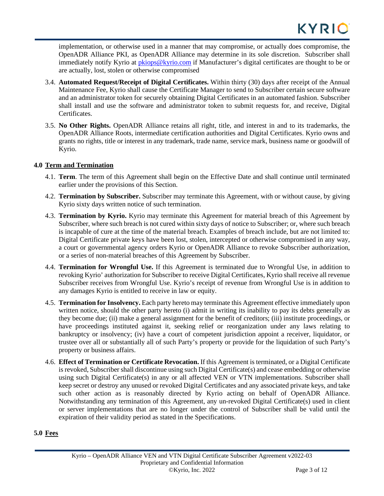implementation, or otherwise used in a manner that may compromise, or actually does compromise, the OpenADR Alliance PKI, as OpenADR Alliance may determine in its sole discretion. Subscriber shall immediately notify Kyrio at [pkiops@kyrio.com](mailto:pkiops@kyrio.com) if Manufacturer's digital certificates are thought to be or are actually, lost, stolen or otherwise compromised

- 3.4. **Automated Request/Receipt of Digital Certificates.** Within thirty (30) days after receipt of the Annual Maintenance Fee, Kyrio shall cause the Certificate Manager to send to Subscriber certain secure software and an administrator token for securely obtaining Digital Certificates in an automated fashion. Subscriber shall install and use the software and administrator token to submit requests for, and receive, Digital Certificates.
- 3.5. **No Other Rights.** OpenADR Alliance retains all right, title, and interest in and to its trademarks, the OpenADR Alliance Roots, intermediate certification authorities and Digital Certificates. Kyrio owns and grants no rights, title or interest in any trademark, trade name, service mark, business name or goodwill of Kyrio.

# **4.0 Term and Termination**

- 4.1. **Term**. The term of this Agreement shall begin on the Effective Date and shall continue until terminated earlier under the provisions of this Section.
- 4.2. **Termination by Subscriber.** Subscriber may terminate this Agreement, with or without cause, by giving Kyrio sixty days written notice of such termination.
- 4.3. **Termination by Kyrio.** Kyrio may terminate this Agreement for material breach of this Agreement by Subscriber, where such breach is not cured within sixty days of notice to Subscriber; or, where such breach is incapable of cure at the time of the material breach. Examples of breach include, but are not limited to: Digital Certificate private keys have been lost, stolen, intercepted or otherwise compromised in any way, a court or governmental agency orders Kyrio or OpenADR Alliance to revoke Subscriber authorization, or a series of non-material breaches of this Agreement by Subscriber.
- 4.4. **Termination for Wrongful Use.** If this Agreement is terminated due to Wrongful Use, in addition to revoking Kyrio' authorization for Subscriber to receive Digital Certificates, Kyrio shall receive all revenue Subscriber receives from Wrongful Use. Kyrio's receipt of revenue from Wrongful Use is in addition to any damages Kyrio is entitled to receive in law or equity.
- 4.5. **Termination for Insolvency.** Each party hereto may terminate this Agreement effective immediately upon written notice, should the other party hereto (i) admit in writing its inability to pay its debts generally as they become due; (ii) make a general assignment for the benefit of creditors; (iii) institute proceedings, or have proceedings instituted against it, seeking relief or reorganization under any laws relating to bankruptcy or insolvency; (iv) have a court of competent jurisdiction appoint a receiver, liquidator, or trustee over all or substantially all of such Party's property or provide for the liquidation of such Party's property or business affairs.
- 4.6. **Effect of Termination or Certificate Revocation.** If this Agreement is terminated, or a Digital Certificate is revoked, Subscriber shall discontinue using such Digital Certificate(s) and cease embedding or otherwise using such Digital Certificate(s) in any or all affected VEN or VTN implementations. Subscriber shall keep secret or destroy any unused or revoked Digital Certificates and any associated private keys, and take such other action as is reasonably directed by Kyrio acting on behalf of OpenADR Alliance. Notwithstanding any termination of this Agreement, any un-revoked Digital Certificate(s) used in client or server implementations that are no longer under the control of Subscriber shall be valid until the expiration of their validity period as stated in the Specifications.

## **5.0 Fees**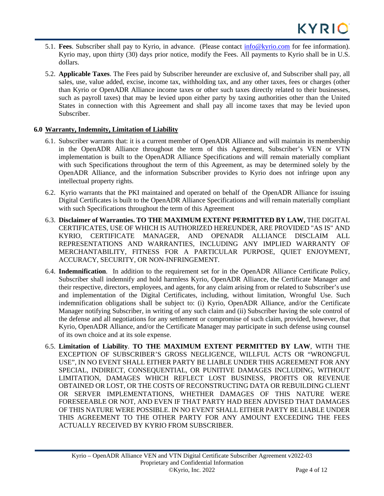- 5.1. **Fees**. Subscriber shall pay to Kyrio, in advance. (Please contact [info@kyrio.com](mailto:info@kyrio.com) for fee information). Kyrio may, upon thirty (30) days prior notice, modify the Fees. All payments to Kyrio shall be in U.S. dollars.
- 5.2. **Applicable Taxes**. The Fees paid by Subscriber hereunder are exclusive of, and Subscriber shall pay, all sales, use, value added, excise, income tax, withholding tax, and any other taxes, fees or charges (other than Kyrio or OpenADR Alliance income taxes or other such taxes directly related to their businesses, such as payroll taxes) that may be levied upon either party by taxing authorities other than the United States in connection with this Agreement and shall pay all income taxes that may be levied upon Subscriber.

# **6.0 Warranty, Indemnity, Limitation of Liability**

- 6.1. Subscriber warrants that: it is a current member of OpenADR Alliance and will maintain its membership in the OpenADR Alliance throughout the term of this Agreement, Subscriber's VEN or VTN implementation is built to the OpenADR Alliance Specifications and will remain materially compliant with such Specifications throughout the term of this Agreement, as may be determined solely by the OpenADR Alliance, and the information Subscriber provides to Kyrio does not infringe upon any intellectual property rights.
- 6.2. Kyrio warrants that the PKI maintained and operated on behalf of the OpenADR Alliance for issuing Digital Certificates is built to the OpenADR Alliance Specifications and will remain materially compliant with such Specifications throughout the term of this Agreement
- 6.3. **Disclaimer of Warranties. TO THE MAXIMUM EXTENT PERMITTED BY LAW,** THE DIGITAL CERTIFICATES, USE OF WHICH IS AUTHORIZED HEREUNDER, ARE PROVIDED "AS IS" AND KYRIO, CERTIFICATE MANAGER, AND OPENADR ALLIANCE DISCLAIM ALL REPRESENTATIONS AND WARRANTIES, INCLUDING ANY IMPLIED WARRANTY OF MERCHANTABILITY, FITNESS FOR A PARTICULAR PURPOSE, QUIET ENJOYMENT, ACCURACY, SECURITY, OR NON-INFRINGEMENT.
- 6.4. **Indemnification**. In addition to the requirement set for in the OpenADR Alliance Certificate Policy, Subscriber shall indemnify and hold harmless Kyrio, OpenADR Alliance, the Certificate Manager and their respective, directors, employees, and agents, for any claim arising from or related to Subscriber's use and implementation of the Digital Certificates, including, without limitation, Wrongful Use. Such indemnification obligations shall be subject to: (i) Kyrio, OpenADR Alliance, and/or the Certificate Manager notifying Subscriber, in writing of any such claim and (ii) Subscriber having the sole control of the defense and all negotiations for any settlement or compromise of such claim, provided, however, that Kyrio, OpenADR Alliance, and/or the Certificate Manager may participate in such defense using counsel of its own choice and at its sole expense.
- 6.5. **Limitation of Liability**. **TO THE MAXIMUM EXTENT PERMITTED BY LAW**, WITH THE EXCEPTION OF SUBSCRIBER'S GROSS NEGLIGENCE, WILLFUL ACTS OR "WRONGFUL USE", IN NO EVENT SHALL EITHER PARTY BE LIABLE UNDER THIS AGREEMENT FOR ANY SPECIAL, INDIRECT, CONSEQUENTIAL, OR PUNITIVE DAMAGES INCLUDING, WITHOUT LIMITATION, DAMAGES WHICH REFLECT LOST BUSINESS, PROFITS OR REVENUE OBTAINED OR LOST, OR THE COSTS OF RECONSTRUCTING DATA OR REBUILDING CLIENT OR SERVER IMPLEMENTATIONS, WHETHER DAMAGES OF THIS NATURE WERE FORESEEABLE OR NOT, AND EVEN IF THAT PARTY HAD BEEN ADVISED THAT DAMAGES OF THIS NATURE WERE POSSIBLE. IN NO EVENT SHALL EITHER PARTY BE LIABLE UNDER THIS AGREEMENT TO THE OTHER PARTY FOR ANY AMOUNT EXCEEDING THE FEES ACTUALLY RECEIVED BY KYRIO FROM SUBSCRIBER.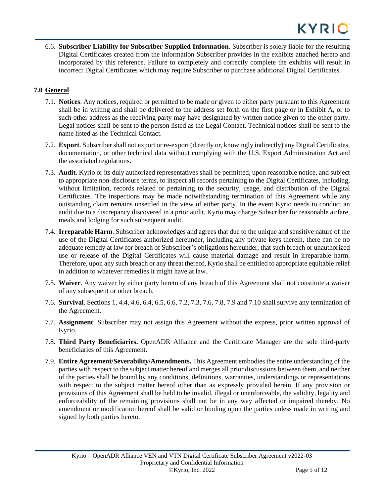6.6. **Subscriber Liability for Subscriber Supplied Information**. Subscriber is solely liable for the resulting Digital Certificates created from the information Subscriber provides in the exhibits attached hereto and incorporated by this reference. Failure to completely and correctly complete the exhibits will result in incorrect Digital Certificates which may require Subscriber to purchase additional Digital Certificates.

# **7.0 General**

- 7.1. **Notices**. Any notices, required or permitted to be made or given to either party pursuant to this Agreement shall be in writing and shall be delivered to the address set forth on the first page or in Exhibit A, or to such other address as the receiving party may have designated by written notice given to the other party. Legal notices shall be sent to the person listed as the Legal Contact. Technical notices shall be sent to the name listed as the Technical Contact.
- 7.2. **Export**. Subscribershall not export or re-export (directly or, knowingly indirectly) any Digital Certificates, documentation, or other technical data without complying with the U.S. Export Administration Act and the associated regulations.
- 7.3. **Audit**. Kyrio or its duly authorized representatives shall be permitted, upon reasonable notice, and subject to appropriate non-disclosure terms, to inspect all records pertaining to the Digital Certificates, including, without limitation, records related or pertaining to the security, usage, and distribution of the Digital Certificates. The inspections may be made notwithstanding termination of this Agreement while any outstanding claim remains unsettled in the view of either party. In the event Kyrio needs to conduct an audit due to a discrepancy discovered in a prior audit, Kyrio may charge Subscriber for reasonable airfare, meals and lodging for such subsequent audit.
- 7.4. **Irreparable Harm**. Subscriber acknowledges and agrees that due to the unique and sensitive nature of the use of the Digital Certificates authorized hereunder, including any private keys therein, there can be no adequate remedy at law for breach of Subscriber's obligations hereunder, that such breach or unauthorized use or release of the Digital Certificates will cause material damage and result in irreparable harm. Therefore, upon any such breach or any threat thereof, Kyrio shall be entitled to appropriate equitable relief in addition to whatever remedies it might have at law.
- 7.5. **Waiver**. Any waiver by either party hereto of any breach of this Agreement shall not constitute a waiver of any subsequent or other breach.
- 7.6. **Survival**. Sections 1, 4.4, 4.6, 6.4, 6.5, 6.6, 7.2, 7.3, 7.6, 7.8, 7.9 and 7.10 shall survive any termination of the Agreement.
- 7.7. **Assignment**. Subscriber may not assign this Agreement without the express, prior written approval of Kyrio.
- 7.8. **Third Party Beneficiaries.** OpenADR Alliance and the Certificate Manager are the sole third-party beneficiaries of this Agreement.
- 7.9. **Entire Agreement/Severability/Amendments.** This Agreement embodies the entire understanding of the parties with respect to the subject matter hereof and merges all prior discussions between them, and neither of the parties shall be bound by any conditions, definitions, warranties, understandings or representations with respect to the subject matter hereof other than as expressly provided herein. If any provision or provisions of this Agreement shall be held to be invalid, illegal or unenforceable, the validity, legality and enforceability of the remaining provisions shall not be in any way affected or impaired thereby. No amendment or modification hereof shall be valid or binding upon the parties unless made in writing and signed by both parties hereto.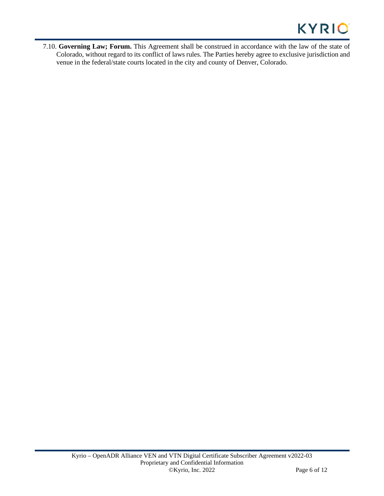7.10. **Governing Law; Forum.** This Agreement shall be construed in accordance with the law of the state of Colorado, without regard to its conflict of laws rules. The Parties hereby agree to exclusive jurisdiction and venue in the federal/state courts located in the city and county of Denver, Colorado.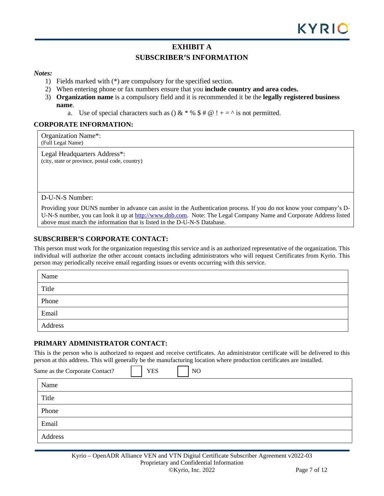# **EXHIBIT A**

# **SUBSCRIBER'S INFORMATION**

#### *Notes:*

- 1) Fields marked with (\*) are compulsory for the specified section.
- 2) When entering phone or fax numbers ensure that you **include country and area codes.**
- 3) **Organization name** is a compulsory field and it is recommended it be the **legally registered business name**.
	- a. Use of special characters such as () & \* % #  $\omega$  ! + = ^ is not permitted.

## **CORPORATE INFORMATION:**

Organization Name\*: (Full Legal Name)

Legal Headquarters Address\*: (city, state or province, postal code, country)

D-U-N-S Number:

Providing your DUNS number in advance can assist in the Authentication process. If you do not know your company's DU-N-S number, you can look it up at [http://www.dnb.com.](http://www.dnb.com/) Note: The Legal Company Name and Corporate Address listed above must match the information that is listed in the D-U-N-S Database.

## **SUBSCRIBER'S CORPORATE CONTACT:**

This person must work for the organization requesting this service and is an authorized representative of the organization. This individual will authorize the other account contacts including administrators who will request Certificates from Kyrio. This person may periodically receive email regarding issues or events occurring with this service.

| Name    |
|---------|
| Title   |
| Phone   |
| Email   |
| Address |

#### **PRIMARY ADMINISTRATOR CONTACT:**

This is the person who is authorized to request and receive certificates. An administrator certificate will be delivered to this person at this address. This will generally be the manufacturing location where production certificates are installed.

| Same as the Corporate Contact? | <b>YES</b> | N <sub>O</sub> |
|--------------------------------|------------|----------------|
| Name                           |            |                |
| Title                          |            |                |
| Phone                          |            |                |
| Email                          |            |                |
| Address                        |            |                |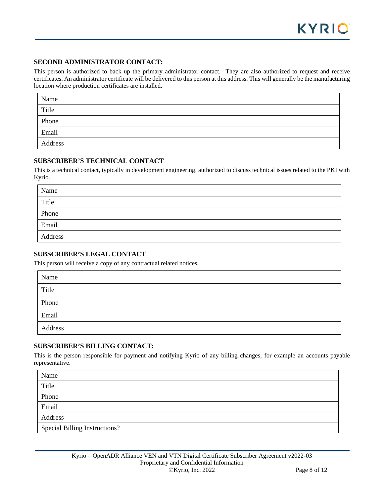# **SECOND ADMINISTRATOR CONTACT:**

This person is authorized to back up the primary administrator contact. They are also authorized to request and receive certificates. An administrator certificate will be delivered to this person at this address. This will generally be the manufacturing location where production certificates are installed.

| Name    |  |
|---------|--|
| Title   |  |
| Phone   |  |
| Email   |  |
| Address |  |

## **SUBSCRIBER'S TECHNICAL CONTACT**

This is a technical contact, typically in development engineering, authorized to discuss technical issues related to the PKI with Kyrio.

| Name    |  |
|---------|--|
| Title   |  |
| Phone   |  |
| Email   |  |
| Address |  |

## **SUBSCRIBER'S LEGAL CONTACT**

This person will receive a copy of any contractual related notices.

| Name    |  |
|---------|--|
| Title   |  |
| Phone   |  |
| Email   |  |
| Address |  |

## **SUBSCRIBER'S BILLING CONTACT:**

This is the person responsible for payment and notifying Kyrio of any billing changes, for example an accounts payable representative.

| Name                                 |
|--------------------------------------|
| Title                                |
| Phone                                |
| Email                                |
| Address                              |
| <b>Special Billing Instructions?</b> |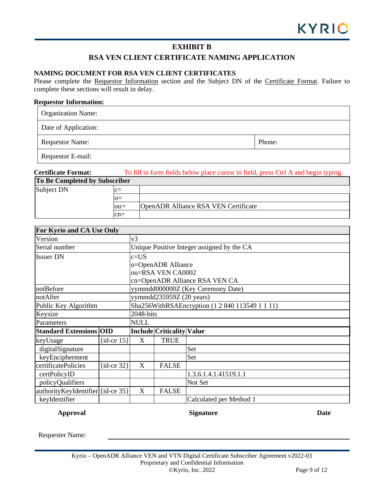# **EXHIBIT B**

# **RSA VEN CLIENT CERTIFICATE NAMING APPLICATION**

# **NAMING DOCUMENT FOR RSA VEN CLIENT CERTIFICATES**

Please complete the Requestor Information section and the Subject DN of the Certificate Format. Failure to complete these sections will result in delay.

#### **Requestor Information:**

| <b>Organization Name:</b> |        |
|---------------------------|--------|
| Date of Application:      |        |
| <b>Requestor Name:</b>    | Phone: |
| Requestor E-mail:         |        |

# **Certificate Format:** To fill in form fields below place cursor in field, press Ctrl A and begin typing. **To Be Completed by Subscriber** Subject DN  $|c=$  $o=$ ou*=* OpenADR Alliance RSA VEN Certificate cn=

| For Kyrio and CA Use Only         |                |                                                 |                           |                         |  |  |
|-----------------------------------|----------------|-------------------------------------------------|---------------------------|-------------------------|--|--|
| Version                           |                | v3                                              |                           |                         |  |  |
| Serial number                     |                | Unique Positive Integer assigned by the CA      |                           |                         |  |  |
| <b>Issuer DN</b>                  |                | $c = US$                                        |                           |                         |  |  |
|                                   |                | o=OpenADR Alliance                              |                           |                         |  |  |
|                                   |                | ou=RSA VEN CA0002                               |                           |                         |  |  |
|                                   |                | cn=OpenADR Alliance RSA VEN CA                  |                           |                         |  |  |
| notBefore                         |                | yymmdd000000Z (Key Ceremony Date)               |                           |                         |  |  |
| notAfter                          |                | yymmdd235959Z (20 years)                        |                           |                         |  |  |
| Public Key Algorithm              |                | Sha256WithRSAEncryption (1 2 840 113549 1 1 11) |                           |                         |  |  |
| Keysize                           |                | 2048-bits                                       |                           |                         |  |  |
| Parameters                        |                | <b>NULL</b>                                     |                           |                         |  |  |
| <b>Standard Extensions OID</b>    |                |                                                 | Include Criticality Value |                         |  |  |
| keyUsage                          | $\{id-ce 15\}$ | X                                               | <b>TRUE</b>               |                         |  |  |
| digitalSignature                  |                |                                                 |                           | Set                     |  |  |
| keyEncipherment                   |                |                                                 |                           | Set                     |  |  |
| certificatePolicies               | $\{id-ce 32\}$ | X                                               | <b>FALSE</b>              |                         |  |  |
| certPolicyID                      |                |                                                 |                           | 1.3.6.1.4.1.41519.1.1   |  |  |
| policyQualifiers                  |                |                                                 |                           | Not Set                 |  |  |
| authorityKeyIdentifier {id-ce 35} |                | X                                               | <b>FALSE</b>              |                         |  |  |
| keyIdentifier                     |                |                                                 |                           | Calculated per Method 1 |  |  |

**Approval Signature Date**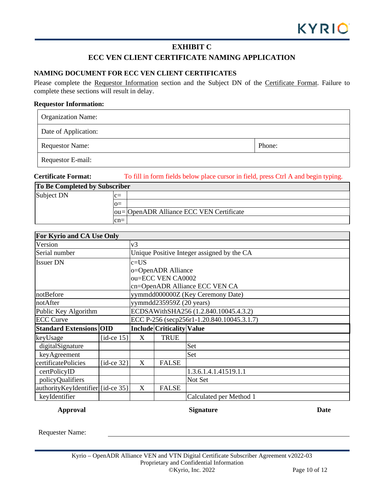# **EXHIBIT C**

# **ECC VEN CLIENT CERTIFICATE NAMING APPLICATION**

# **NAMING DOCUMENT FOR ECC VEN CLIENT CERTIFICATES**

Please complete the Requestor Information section and the Subject DN of the Certificate Format. Failure to complete these sections will result in delay.

#### **Requestor Information:**

| <b>Organization Name:</b> |        |
|---------------------------|--------|
| Date of Application:      |        |
| <b>Requestor Name:</b>    | Phone: |
| Requestor E-mail:         |        |

**Certificate Format:** To fill in form fields below place cursor in field, press Ctrl A and begin typing.

| To Be Completed by Subscriber |       |                                          |  |
|-------------------------------|-------|------------------------------------------|--|
| Subject DN                    | $c=$  |                                          |  |
|                               | $Q =$ |                                          |  |
|                               |       | ou= OpenADR Alliance ECC VEN Certificate |  |
|                               | $cn=$ |                                          |  |

| For Kyrio and CA Use Only         |                |                                            |                                  |                         |  |  |
|-----------------------------------|----------------|--------------------------------------------|----------------------------------|-------------------------|--|--|
| Version                           |                | v3                                         |                                  |                         |  |  |
| Serial number                     |                | Unique Positive Integer assigned by the CA |                                  |                         |  |  |
| <b>Issuer DN</b>                  |                | c=US                                       |                                  |                         |  |  |
|                                   |                | o=OpenADR Alliance                         |                                  |                         |  |  |
|                                   |                | ou=ECC VEN CA0002                          |                                  |                         |  |  |
|                                   |                | cn=OpenADR Alliance ECC VEN CA             |                                  |                         |  |  |
| notBefore                         |                | yymmdd000000Z (Key Ceremony Date)          |                                  |                         |  |  |
| notAfter                          |                | yymmdd235959Z (20 years)                   |                                  |                         |  |  |
| Public Key Algorithm              |                | ECDSAWithSHA256 (1.2.840.10045.4.3.2)      |                                  |                         |  |  |
| <b>ECC Curve</b>                  |                | ECC P-256 (secp256r1-1.20.840.10045.3.1.7) |                                  |                         |  |  |
| <b>Standard Extensions OID</b>    |                |                                            | <b>Include Criticality Value</b> |                         |  |  |
| keyUsage                          | $\{id-ce 15\}$ | X                                          | <b>TRUE</b>                      |                         |  |  |
| digitalSignature                  |                |                                            |                                  | Set                     |  |  |
| keyAgreement                      |                |                                            |                                  | Set                     |  |  |
| certificatePolicies               | $\{id-ce 32\}$ | X                                          | <b>FALSE</b>                     |                         |  |  |
| certPolicyID                      |                |                                            |                                  | 1.3.6.1.4.1.41519.1.1   |  |  |
| policyQualifiers                  |                |                                            |                                  | Not Set                 |  |  |
| authorityKeyIdentifier {id-ce 35} |                | X                                          | <b>FALSE</b>                     |                         |  |  |
| keyIdentifier                     |                |                                            |                                  | Calculated per Method 1 |  |  |

**Approval Signature Date**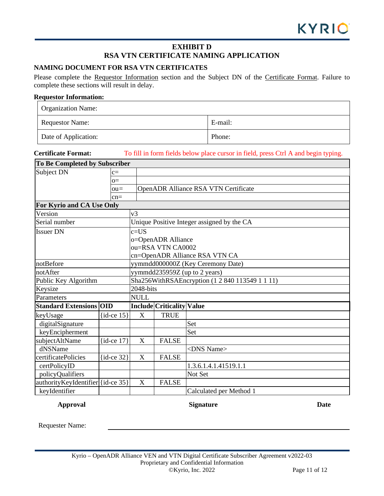# **EXHIBIT D RSA VTN CERTIFICATE NAMING APPLICATION**

# **NAMING DOCUMENT FOR RSA VTN CERTIFICATES**

Please complete the Requestor Information section and the Subject DN of the Certificate Format. Failure to complete these sections will result in delay.

## **Requestor Information:**

| <b>Organization Name:</b> |         |
|---------------------------|---------|
| <b>Requestor Name:</b>    | E-mail: |
| Date of Application:      | Phone:  |

# **Certificate Format:** To fill in form fields below place cursor in field, press Ctrl A and begin typing.

| To Be Completed by Subscriber     |                |                                                 |                           |                                      |  |  |
|-----------------------------------|----------------|-------------------------------------------------|---------------------------|--------------------------------------|--|--|
| Subject DN<br>$c =$               |                |                                                 |                           |                                      |  |  |
|                                   | $O =$          |                                                 |                           |                                      |  |  |
|                                   | $ou =$         |                                                 |                           | OpenADR Alliance RSA VTN Certificate |  |  |
|                                   | $cn=$          |                                                 |                           |                                      |  |  |
| For Kyrio and CA Use Only         |                |                                                 |                           |                                      |  |  |
| Version                           |                | v <sub>3</sub>                                  |                           |                                      |  |  |
| Serial number                     |                | Unique Positive Integer assigned by the CA      |                           |                                      |  |  |
| <b>Issuer DN</b>                  |                | $c = US$                                        |                           |                                      |  |  |
|                                   |                | o=OpenADR Alliance                              |                           |                                      |  |  |
|                                   |                | ou=RSA VTN CA0002                               |                           |                                      |  |  |
|                                   |                | cn=OpenADR Alliance RSA VTN CA                  |                           |                                      |  |  |
| notBefore                         |                | yymmdd000000Z (Key Ceremony Date)               |                           |                                      |  |  |
| notAfter                          |                | yymmdd235959Z (up to 2 years)                   |                           |                                      |  |  |
| Public Key Algorithm              |                | Sha256WithRSAEncryption (1 2 840 113549 1 1 11) |                           |                                      |  |  |
| Keysize                           |                | 2048-bits                                       |                           |                                      |  |  |
| Parameters                        |                | <b>NULL</b>                                     |                           |                                      |  |  |
| <b>Standard Extensions OID</b>    |                |                                                 | Include Criticality Value |                                      |  |  |
| keyUsage                          | $\{id-ce 15\}$ | X                                               | <b>TRUE</b>               |                                      |  |  |
| digitalSignature                  |                |                                                 |                           | Set                                  |  |  |
| keyEncipherment                   |                |                                                 |                           | Set                                  |  |  |
| subjectAltName                    | $\{id-ce 17\}$ | X                                               | <b>FALSE</b>              |                                      |  |  |
| dNSName                           |                |                                                 |                           | <dns name=""></dns>                  |  |  |
| certificatePolicies               | $\{id-ce 32\}$ | X                                               | <b>FALSE</b>              |                                      |  |  |
| certPolicyID                      |                |                                                 |                           | 1.3.6.1.4.1.41519.1.1                |  |  |
| policyQualifiers                  |                | Not Set                                         |                           |                                      |  |  |
| authorityKeyIdentifier {id-ce 35} |                | $\boldsymbol{\mathrm{X}}$                       | <b>FALSE</b>              |                                      |  |  |
| keyIdentifier                     |                |                                                 |                           | Calculated per Method 1              |  |  |

# **Approval Signature Date**